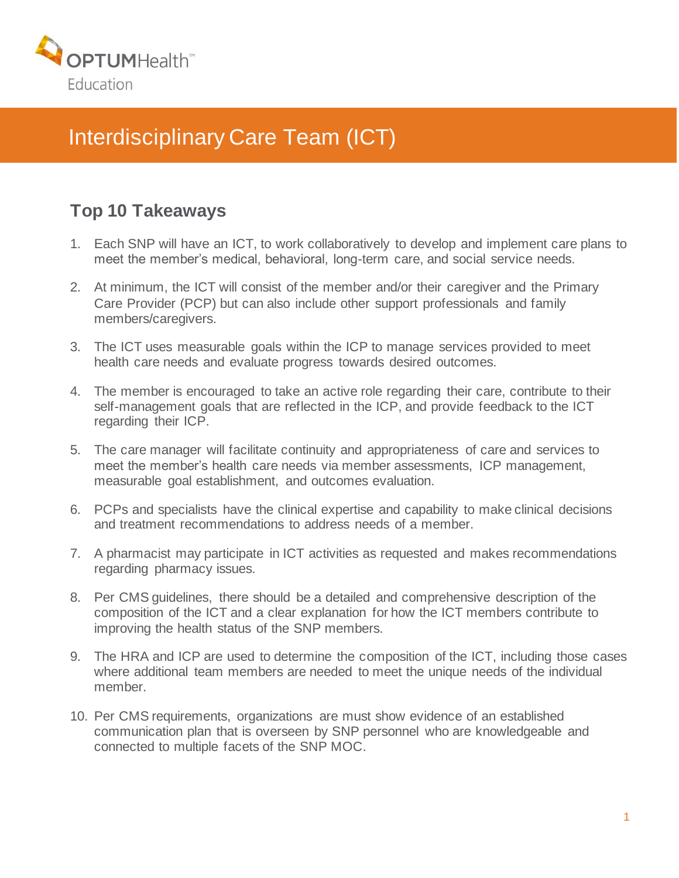

## Interdisciplinary Care Team (ICT)

## **Top 10 Takeaways**

- 1. Each SNP will have an ICT, to work collaboratively to develop and implement care plans to meet the member's medical, behavioral, long-term care, and social service needs.
- 2. At minimum, the ICT will consist of the member and/or their caregiver and the Primary Care Provider (PCP) but can also include other support professionals and family members/caregivers.
- 3. The ICT uses measurable goals within the ICP to manage services provided to meet health care needs and evaluate progress towards desired outcomes.
- 4. The member is encouraged to take an active role regarding their care, contribute to their self-management goals that are reflected in the ICP, and provide feedback to the ICT regarding their ICP.
- 5. The care manager will facilitate continuity and appropriateness of care and services to meet the member's health care needs via member assessments, ICP management, measurable goal establishment, and outcomes evaluation.
- 6. PCPs and specialists have the clinical expertise and capability to make clinical decisions and treatment recommendations to address needs of a member.
- 7. A pharmacist may participate in ICT activities as requested and makes recommendations regarding pharmacy issues.
- 8. Per CMS guidelines, there should be a detailed and comprehensive description of the composition of the ICT and a clear explanation for how the ICT members contribute to improving the health status of the SNP members.
- 9. The HRA and ICP are used to determine the composition of the ICT, including those cases where additional team members are needed to meet the unique needs of the individual member.
- 10. Per CMS requirements, organizations are must show evidence of an established communication plan that is overseen by SNP personnel who are knowledgeable and connected to multiple facets of the SNP MOC.